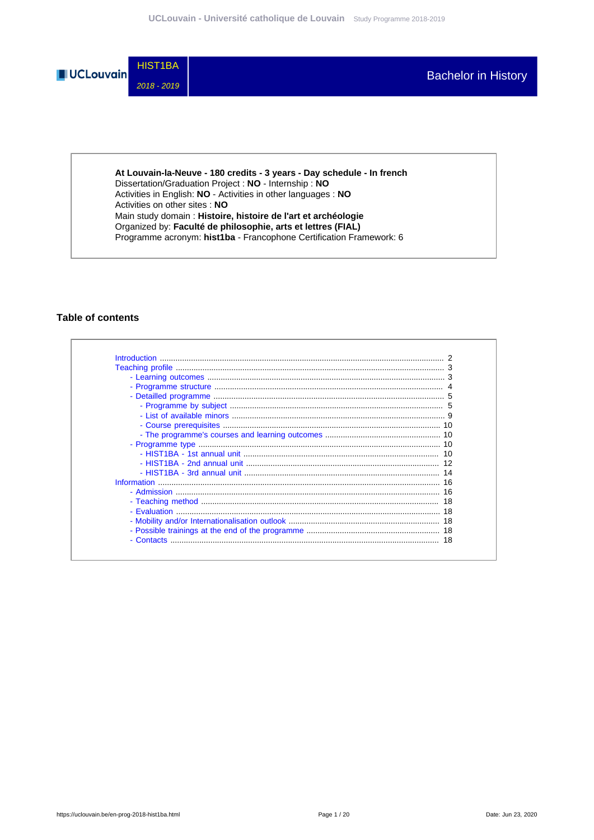

**At Louvain-la-Neuve - 180 credits - 3 years - Day schedule - In french** Dissertation/Graduation Project : **NO** - Internship : **NO** Activities in English: **NO** - Activities in other languages : **NO** Activities on other sites : **NO** Main study domain : **Histoire, histoire de l'art et archéologie** Organized by: **Faculté de philosophie, arts et lettres (FIAL)** Programme acronym: **hist1ba** - Francophone Certification Framework: 6

# **Table of contents**

| Information |  |
|-------------|--|
|             |  |
|             |  |
|             |  |
|             |  |
|             |  |
| - Contacts  |  |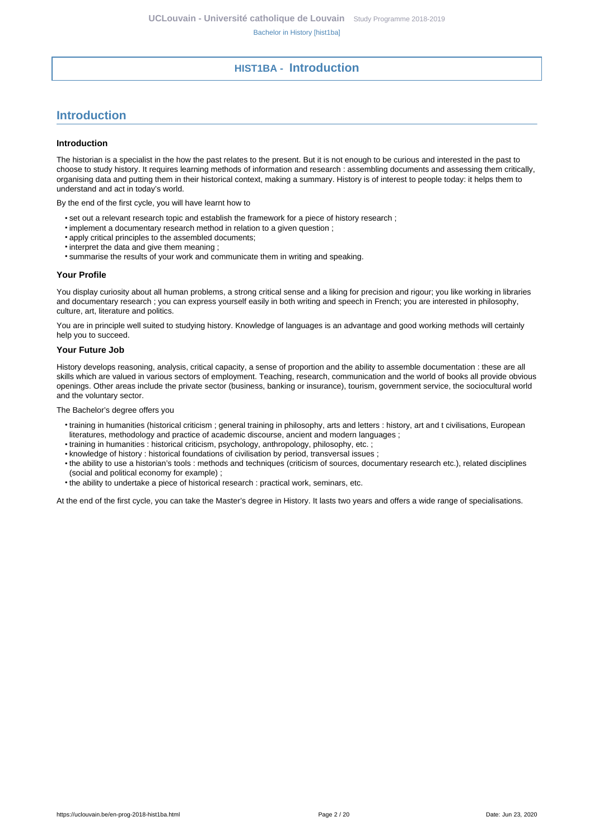# **HIST1BA - Introduction**

# <span id="page-1-0"></span>**Introduction**

#### **Introduction**

The historian is a specialist in the how the past relates to the present. But it is not enough to be curious and interested in the past to choose to study history. It requires learning methods of information and research : assembling documents and assessing them critically, organising data and putting them in their historical context, making a summary. History is of interest to people today: it helps them to understand and act in today's world.

By the end of the first cycle, you will have learnt how to

- set out a relevant research topic and establish the framework for a piece of history research ;
- implement a documentary research method in relation to a given question ;
- apply critical principles to the assembled documents;
- interpret the data and give them meaning ;
- summarise the results of your work and communicate them in writing and speaking.

#### **Your Profile**

You display curiosity about all human problems, a strong critical sense and a liking for precision and rigour; you like working in libraries and documentary research ; you can express yourself easily in both writing and speech in French; you are interested in philosophy, culture, art, literature and politics.

You are in principle well suited to studying history. Knowledge of languages is an advantage and good working methods will certainly help you to succeed.

#### **Your Future Job**

History develops reasoning, analysis, critical capacity, a sense of proportion and the ability to assemble documentation : these are all skills which are valued in various sectors of employment. Teaching, research, communication and the world of books all provide obvious openings. Other areas include the private sector (business, banking or insurance), tourism, government service, the sociocultural world and the voluntary sector.

The Bachelor's degree offers you

- training in humanities (historical criticism ; general training in philosophy, arts and letters : history, art and t civilisations, European literatures, methodology and practice of academic discourse, ancient and modern languages ;
- training in humanities : historical criticism, psychology, anthropology, philosophy, etc. ;
- knowledge of history : historical foundations of civilisation by period, transversal issues ;
- the ability to use a historian's tools : methods and techniques (criticism of sources, documentary research etc.), related disciplines (social and political economy for example) ;
- the ability to undertake a piece of historical research : practical work, seminars, etc.

At the end of the first cycle, you can take the Master's degree in History. It lasts two years and offers a wide range of specialisations.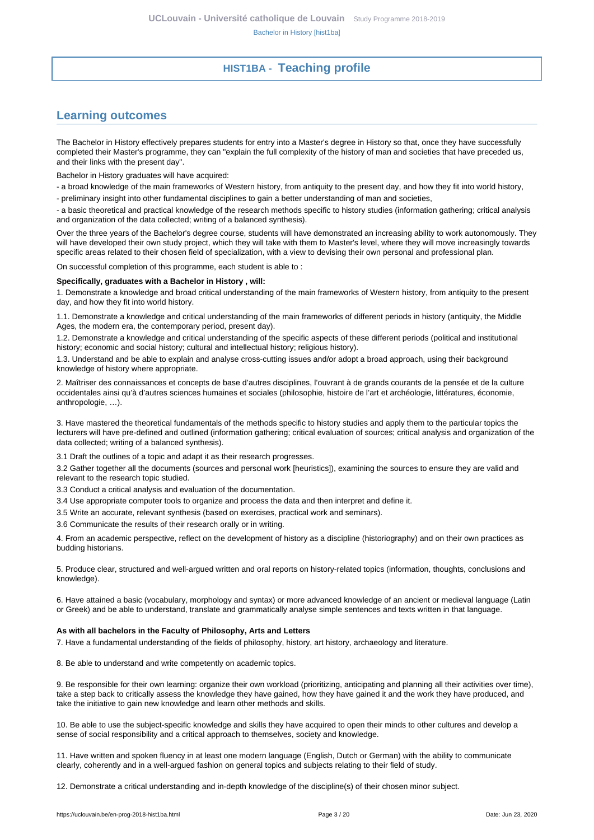# **HIST1BA - Teaching profile**

# <span id="page-2-1"></span><span id="page-2-0"></span>**Learning outcomes**

The Bachelor in History effectively prepares students for entry into a Master's degree in History so that, once they have successfully completed their Master's programme, they can "explain the full complexity of the history of man and societies that have preceded us, and their links with the present day".

Bachelor in History graduates will have acquired:

- a broad knowledge of the main frameworks of Western history, from antiquity to the present day, and how they fit into world history,

- preliminary insight into other fundamental disciplines to gain a better understanding of man and societies,

- a basic theoretical and practical knowledge of the research methods specific to history studies (information gathering; critical analysis and organization of the data collected; writing of a balanced synthesis).

Over the three years of the Bachelor's degree course, students will have demonstrated an increasing ability to work autonomously. They will have developed their own study project, which they will take with them to Master's level, where they will move increasingly towards specific areas related to their chosen field of specialization, with a view to devising their own personal and professional plan.

On successful completion of this programme, each student is able to :

#### **Specifically, graduates with a Bachelor in History , will:**

1. Demonstrate a knowledge and broad critical understanding of the main frameworks of Western history, from antiquity to the present day, and how they fit into world history.

1.1. Demonstrate a knowledge and critical understanding of the main frameworks of different periods in history (antiquity, the Middle Ages, the modern era, the contemporary period, present day).

1.2. Demonstrate a knowledge and critical understanding of the specific aspects of these different periods (political and institutional history; economic and social history; cultural and intellectual history; religious history).

1.3. Understand and be able to explain and analyse cross-cutting issues and/or adopt a broad approach, using their background knowledge of history where appropriate.

2. Maîtriser des connaissances et concepts de base d'autres disciplines, l'ouvrant à de grands courants de la pensée et de la culture occidentales ainsi qu'à d'autres sciences humaines et sociales (philosophie, histoire de l'art et archéologie, littératures, économie, anthropologie, …).

3. Have mastered the theoretical fundamentals of the methods specific to history studies and apply them to the particular topics the lecturers will have pre-defined and outlined (information gathering; critical evaluation of sources; critical analysis and organization of the data collected; writing of a balanced synthesis).

3.1 Draft the outlines of a topic and adapt it as their research progresses.

3.2 Gather together all the documents (sources and personal work [heuristics]), examining the sources to ensure they are valid and relevant to the research topic studied.

3.3 Conduct a critical analysis and evaluation of the documentation.

3.4 Use appropriate computer tools to organize and process the data and then interpret and define it.

3.5 Write an accurate, relevant synthesis (based on exercises, practical work and seminars).

3.6 Communicate the results of their research orally or in writing.

4. From an academic perspective, reflect on the development of history as a discipline (historiography) and on their own practices as budding historians.

5. Produce clear, structured and well-argued written and oral reports on history-related topics (information, thoughts, conclusions and knowledge).

6. Have attained a basic (vocabulary, morphology and syntax) or more advanced knowledge of an ancient or medieval language (Latin or Greek) and be able to understand, translate and grammatically analyse simple sentences and texts written in that language.

#### **As with all bachelors in the Faculty of Philosophy, Arts and Letters**

7. Have a fundamental understanding of the fields of philosophy, history, art history, archaeology and literature.

8. Be able to understand and write competently on academic topics.

9. Be responsible for their own learning: organize their own workload (prioritizing, anticipating and planning all their activities over time), take a step back to critically assess the knowledge they have gained, how they have gained it and the work they have produced, and take the initiative to gain new knowledge and learn other methods and skills.

10. Be able to use the subject-specific knowledge and skills they have acquired to open their minds to other cultures and develop a sense of social responsibility and a critical approach to themselves, society and knowledge.

11. Have written and spoken fluency in at least one modern language (English, Dutch or German) with the ability to communicate clearly, coherently and in a well-argued fashion on general topics and subjects relating to their field of study.

12. Demonstrate a critical understanding and in-depth knowledge of the discipline(s) of their chosen minor subject.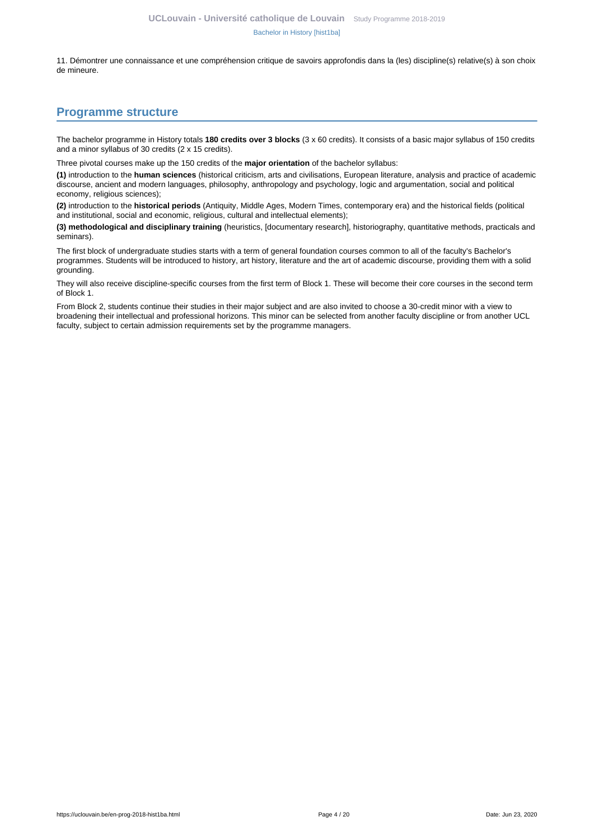11. Démontrer une connaissance et une compréhension critique de savoirs approfondis dans la (les) discipline(s) relative(s) à son choix de mineure.

# <span id="page-3-0"></span>**Programme structure**

The bachelor programme in History totals **180 credits over 3 blocks** (3 x 60 credits). It consists of a basic major syllabus of 150 credits and a minor syllabus of 30 credits (2 x 15 credits).

Three pivotal courses make up the 150 credits of the **major orientation** of the bachelor syllabus:

**(1)** introduction to the **human sciences** (historical criticism, arts and civilisations, European literature, analysis and practice of academic discourse, ancient and modern languages, philosophy, anthropology and psychology, logic and argumentation, social and political economy, religious sciences);

**(2)** introduction to the **historical periods** (Antiquity, Middle Ages, Modern Times, contemporary era) and the historical fields (political and institutional, social and economic, religious, cultural and intellectual elements);

**(3) methodological and disciplinary training** (heuristics, [documentary research], historiography, quantitative methods, practicals and seminars).

The first block of undergraduate studies starts with a term of general foundation courses common to all of the faculty's Bachelor's programmes. Students will be introduced to history, art history, literature and the art of academic discourse, providing them with a solid grounding.

They will also receive discipline-specific courses from the first term of Block 1. These will become their core courses in the second term of Block 1.

From Block 2, students continue their studies in their major subject and are also invited to choose a 30-credit minor with a view to broadening their intellectual and professional horizons. This minor can be selected from another faculty discipline or from another UCL faculty, subject to certain admission requirements set by the programme managers.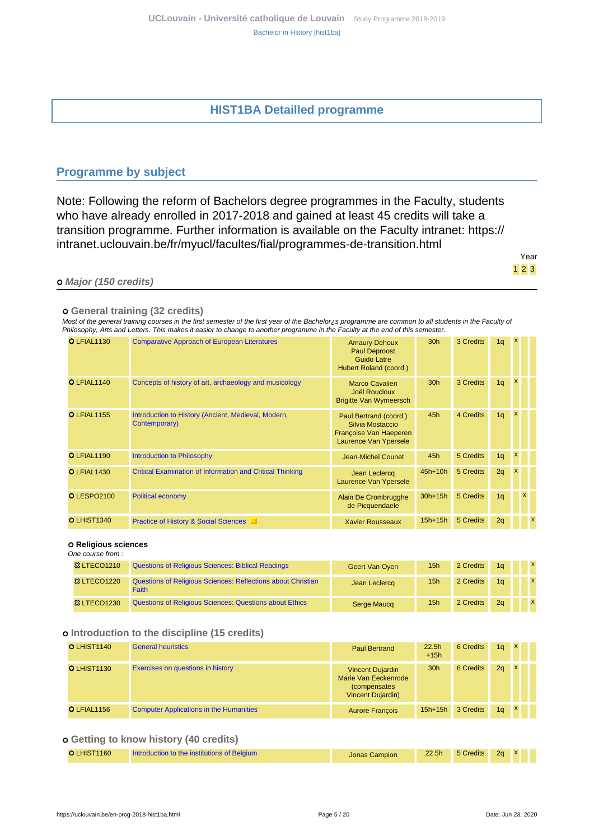# **HIST1BA Detailled programme**

# <span id="page-4-1"></span><span id="page-4-0"></span>**Programme by subject**

Note: Following the reform of Bachelors degree programmes in the Faculty, students who have already enrolled in 2017-2018 and gained at least 45 credits will take a transition programme. Further information is available on the Faculty intranet: https:// intranet.uclouvain.be/fr/myucl/facultes/fial/programmes-de-transition.html

#### **Major (150 credits)**

#### **General training (32 credits)**

Most of the general training courses in the first semester of the first year of the Bachelor¿s programme are common to all students in the Faculty of Philosophy, Arts and Letters. This makes it easier to change to another programme in the Faculty at the end of this semester.

| <b>O</b> LFIAL1130 | <b>Comparative Approach of European Literatures</b>                  | <b>Amaury Dehoux</b><br>Paul Deproost<br>Guido Latre<br>Hubert Roland (coord.)                | 30 <sub>h</sub> | 3 Credits | 1 <sub>q</sub> | $\mathbf{x}$              |          |              |
|--------------------|----------------------------------------------------------------------|-----------------------------------------------------------------------------------------------|-----------------|-----------|----------------|---------------------------|----------|--------------|
| O LFIAL1140        | Concepts of history of art, archaeology and musicology               | <b>Marco Cavalieri</b><br>Joël Roucloux<br><b>Brigitte Van Wymeersch</b>                      | 30 <sub>h</sub> | 3 Credits | 1 <sub>q</sub> | $\mathbf{x}$              |          |              |
| <b>O</b> LFIAL1155 | Introduction to History (Ancient, Medieval, Modern,<br>Contemporary) | Paul Bertrand (coord.)<br>Silvia Mostaccio<br>Françoise Van Haeperen<br>Laurence Van Ypersele | 45h             | 4 Credits | 1 <sub>q</sub> | $\boldsymbol{\mathsf{x}}$ |          |              |
| O LFIAL1190        | <b>Introduction to Philosophy</b>                                    | Jean-Michel Counet                                                                            | 45h             | 5 Credits | 1 <sub>q</sub> | $\mathsf{x}$              |          |              |
| O LFIAL1430        | <b>Critical Examination of Information and Critical Thinking</b>     | Jean Leclercq<br>Laurence Van Ypersele                                                        | $45h+10h$       | 5 Credits | 2q             | $\boldsymbol{\mathsf{x}}$ |          |              |
| <b>OLESPO2100</b>  | Political economy                                                    | Alain De Crombrugghe<br>de Picquendaele                                                       | $30h+15h$       | 5 Credits | 1 <sub>q</sub> |                           | <b>X</b> |              |
| O LHIST1340        | <b>Practice of History &amp; Social Sciences</b>                     | <b>Xavier Rousseaux</b>                                                                       | $15h+15h$       | 5 Credits | 2q             |                           |          | $\mathbf{x}$ |

#### **Religious sciences**

| One course from:       |                                                                       |                |     |           |                |              |
|------------------------|-----------------------------------------------------------------------|----------------|-----|-----------|----------------|--------------|
| <b>&amp; LTECO1210</b> | <b>Questions of Religious Sciences: Biblical Readings</b>             | Geert Van Oyen | 15h | 2 Credits | 1 <sub>a</sub> | $\mathbf{x}$ |
| <b>&amp; LTECO1220</b> | Questions of Religious Sciences: Reflections about Christian<br>Faith | Jean Leclercq  | 15h | 2 Credits | 1 <sub>a</sub> | $\mathbf{x}$ |
| <sup>3</sup> LTECO1230 | Questions of Religious Sciences: Questions about Ethics               | Serge Maucg    | 15h | 2 Credits | 2 <sub>a</sub> | $\mathbf{x}$ |

#### **Introduction to the discipline (15 credits)**

| O LHIST1140 | <b>General heuristics</b>                      | <b>Paul Bertrand</b>                                                                         | 22.5h<br>$+15h$ | 6 Credits | 1q             | $\mathbf x$  |  |
|-------------|------------------------------------------------|----------------------------------------------------------------------------------------------|-----------------|-----------|----------------|--------------|--|
| O LHIST1130 | Exercises on questions in history              | <b>Vincent Dujardin</b><br>Marie Van Eeckenrode<br><i>(compensates)</i><br>Vincent Dujardin) | 30 <sub>h</sub> | 6 Credits | 2q             | $\mathbf{x}$ |  |
| O LFIAL1156 | <b>Computer Applications in the Humanities</b> | <b>Aurore François</b>                                                                       | $15h+15h$       | 3 Credits | 1 <sub>a</sub> | $\mathsf{x}$ |  |

#### **Getting to know history (40 credits)**

| <b>O LHIST1160</b> | Introduction to the institutions of Belgium | Jonas Campion | 22.5h 5 Credits 2g X |  |  |
|--------------------|---------------------------------------------|---------------|----------------------|--|--|

Year 1 2 3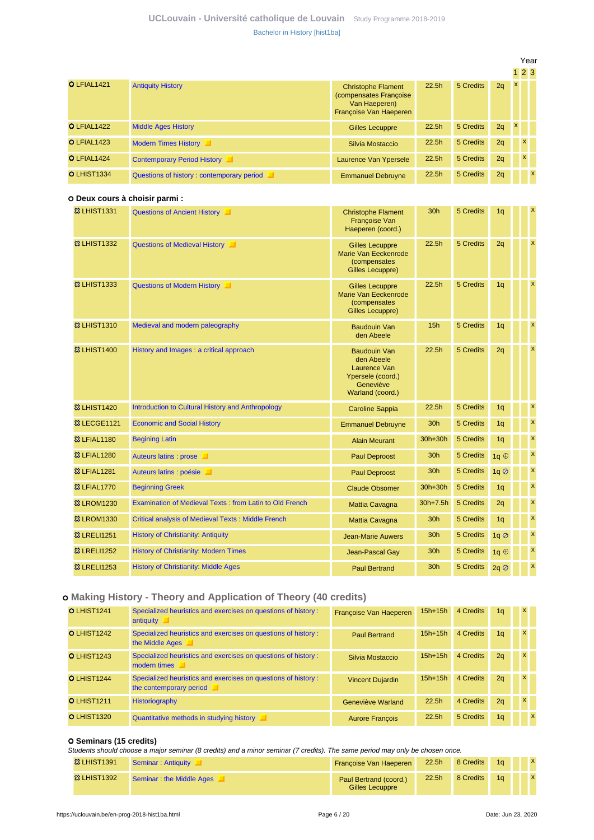### **UCLouvain - Université catholique de Louvain** [Study Programme 2018-2019](https://uclouvain.be/en/study-programme) [Bachelor in History \[hist1ba\]](https://uclouvain.be/en-prog-2018-hist1ba.html)

|                    |                                           |                                                                                                |       |           |    |              | Year         |              |
|--------------------|-------------------------------------------|------------------------------------------------------------------------------------------------|-------|-----------|----|--------------|--------------|--------------|
|                    |                                           |                                                                                                |       |           |    | 123          |              |              |
| O LFIAL1421        | <b>Antiquity History</b>                  | <b>Christophe Flament</b><br>(compensates Françoise<br>Van Haeperen)<br>Françoise Van Haeperen | 22.5h | 5 Credits | 2q | $\mathbf{x}$ |              |              |
| O LFIAL1422        | <b>Middle Ages History</b>                | <b>Gilles Lecuppre</b>                                                                         | 22.5h | 5 Credits | 2q | $\mathbf{x}$ |              |              |
| <b>O</b> LFIAL1423 | Modern Times History                      | Silvia Mostaccio                                                                               | 22.5h | 5 Credits | 2q |              | $\mathbf{x}$ |              |
| O LFIAL1424        | Contemporary Period History               | Laurence Van Ypersele                                                                          | 22.5h | 5 Credits | 2q |              | $\mathbf{x}$ |              |
| <b>O LHIST1334</b> | Questions of history: contemporary period | <b>Emmanuel Debruyne</b>                                                                       | 22.5h | 5 Credits | 2q |              |              | $\mathbf{x}$ |

#### **Deux cours à choisir parmi :**

| <b>83 LHIST1331</b>     | Questions of Ancient History                              | <b>Christophe Flament</b><br>Françoise Van<br>Haeperen (coord.)                                         | 30 <sub>h</sub>   | 5 Credits | 1 <sub>q</sub> | $\boldsymbol{\mathsf{x}}$ |
|-------------------------|-----------------------------------------------------------|---------------------------------------------------------------------------------------------------------|-------------------|-----------|----------------|---------------------------|
| <b>&amp;3 LHIST1332</b> | <b>Questions of Medieval History</b>                      | <b>Gilles Lecuppre</b><br>Marie Van Eeckenrode<br><i>(compensates)</i><br>Gilles Lecuppre)              | 22.5 <sub>h</sub> | 5 Credits | 2q             | $\boldsymbol{\mathsf{x}}$ |
| <b>83 LHIST1333</b>     | Questions of Modern History                               | <b>Gilles Lecuppre</b><br>Marie Van Eeckenrode<br>(compensates<br>Gilles Lecuppre)                      | 22.5 <sub>h</sub> | 5 Credits | 1 <sub>q</sub> | $\boldsymbol{\mathsf{x}}$ |
| <b>83 LHIST1310</b>     | Medieval and modern paleography                           | <b>Baudouin Van</b><br>den Abeele                                                                       | 15 <sub>h</sub>   | 5 Credits | 1 <sub>q</sub> | X                         |
| <b>83 LHIST1400</b>     | History and Images : a critical approach                  | <b>Baudouin Van</b><br>den Abeele<br>Laurence Van<br>Ypersele (coord.)<br>Geneviève<br>Warland (coord.) | 22.5 <sub>h</sub> | 5 Credits | 2q             | $\boldsymbol{\mathsf{x}}$ |
| <b>&amp;3 LHIST1420</b> | Introduction to Cultural History and Anthropology         | <b>Caroline Sappia</b>                                                                                  | 22.5h             | 5 Credits | 1q             | $\boldsymbol{\mathsf{x}}$ |
| <b>&amp; LECGE1121</b>  | <b>Economic and Social History</b>                        | <b>Emmanuel Debruyne</b>                                                                                | 30h               | 5 Credits | 1q             | $\boldsymbol{\mathsf{x}}$ |
| <b>&amp; LFIAL1180</b>  | <b>Begining Latin</b>                                     | <b>Alain Meurant</b>                                                                                    | 30h+30h           | 5 Credits | 1q             | X                         |
| <b>83 LFIAL1280</b>     | Auteurs latins : prose                                    | <b>Paul Deproost</b>                                                                                    | 30h               | 5 Credits | 1q $\oplus$    | $\boldsymbol{\mathsf{x}}$ |
| <b>83 LFIAL1281</b>     | Auteurs latins : poésie                                   | <b>Paul Deproost</b>                                                                                    | 30h               | 5 Credits | 1q             | $\boldsymbol{\mathsf{x}}$ |
| <b>83 LFIAL1770</b>     | <b>Beginning Greek</b>                                    | <b>Claude Obsomer</b>                                                                                   | $30h+30h$         | 5 Credits | 1q             | $\boldsymbol{\mathsf{x}}$ |
| <b>&amp; LROM1230</b>   | Examination of Medieval Texts: from Latin to Old French   | Mattia Cavagna                                                                                          | $30h + 7.5h$      | 5 Credits | 2q             | $\boldsymbol{\mathsf{x}}$ |
| <b>&amp;3 LROM1330</b>  | <b>Critical analysis of Medieval Texts: Middle French</b> | Mattia Cavagna                                                                                          | 30 <sub>h</sub>   | 5 Credits | 1q             | $\boldsymbol{\mathsf{x}}$ |
| <sup>33</sup> LRELI1251 | <b>History of Christianity: Antiquity</b>                 | <b>Jean-Marie Auwers</b>                                                                                | 30h               | 5 Credits | 1q             | X                         |
| <b>&amp;3 LRELI1252</b> | <b>History of Christianity: Modern Times</b>              | Jean-Pascal Gay                                                                                         | 30h               | 5 Credits | $1q \oplus$    | $\boldsymbol{\mathsf{x}}$ |
| <b>&amp; LRELI1253</b>  | <b>History of Christianity: Middle Ages</b>               | <b>Paul Bertrand</b>                                                                                    | 30 <sub>h</sub>   | 5 Credits | 2q             | $\overline{\mathsf{x}}$   |

# **Making History - Theory and Application of Theory (40 credits)**

| <b>O</b> LHIST1241 | Specialized heuristics and exercises on questions of history :<br>antiquity               | Françoise Van Haeperen  | $15h+15h$ | 4 Credits | 1 <sub>q</sub> | <b>X</b>     |
|--------------------|-------------------------------------------------------------------------------------------|-------------------------|-----------|-----------|----------------|--------------|
| <b>O</b> LHIST1242 | Specialized heuristics and exercises on questions of history :<br>the Middle Ages         | <b>Paul Bertrand</b>    | $15h+15h$ | 4 Credits | 1 <sub>q</sub> | <b>X</b>     |
| <b>O</b> LHIST1243 | Specialized heuristics and exercises on questions of history :<br>modern times            | Silvia Mostaccio        | $15h+15h$ | 4 Credits | 2q             | x            |
| <b>O</b> LHIST1244 | Specialized heuristics and exercises on questions of history :<br>the contemporary period | <b>Vincent Dujardin</b> | $15h+15h$ | 4 Credits | 2q             | <b>X</b>     |
| <b>OLHIST1211</b>  | <b>Historiography</b>                                                                     | Geneviève Warland       | 22.5h     | 4 Credits | 2q             | <b>X</b>     |
| <b>O LHIST1320</b> | Quantitative methods in studying history                                                  | <b>Aurore François</b>  | 22.5h     | 5 Credits | 1 <sub>q</sub> | $\mathsf{x}$ |

#### **Seminars (15 credits)**

Students should choose a major seminar (8 credits) and a minor seminar (7 credits). The same period may only be chosen once.

| <b>&amp; LHIST1391</b> | Seminar: Antiquity       | Françoise Van Haeperen                    | 22.5h | 8 Credits | 1a             |  |
|------------------------|--------------------------|-------------------------------------------|-------|-----------|----------------|--|
| <b>83 LHIST1392</b>    | Seminar: the Middle Ages | Paul Bertrand (coord.)<br>Gilles Lecuppre | 22.5h | 8 Credits | 1 <sub>a</sub> |  |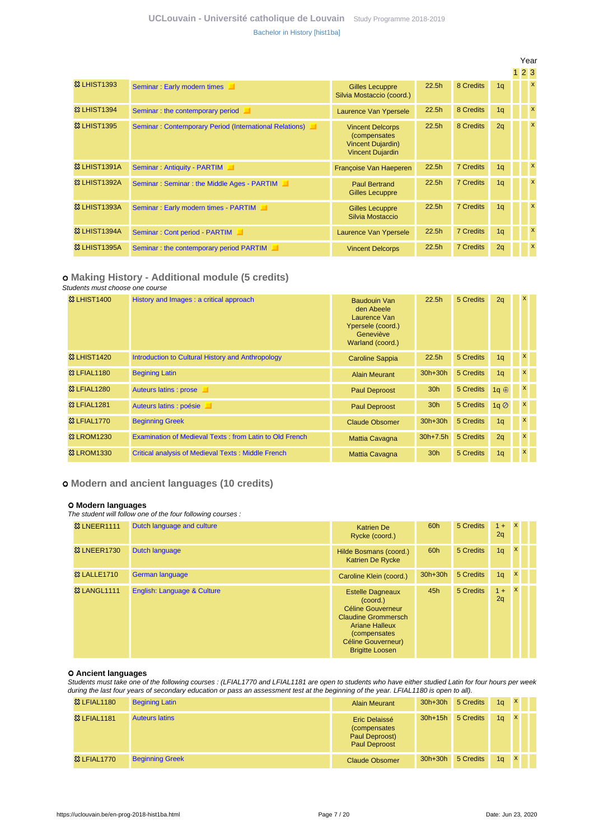|                          |                                                        |                                                                                                |                   |                  |                | Yeaı<br>23 |                           |
|--------------------------|--------------------------------------------------------|------------------------------------------------------------------------------------------------|-------------------|------------------|----------------|------------|---------------------------|
| <b>&amp;3 LHIST1393</b>  | Seminar: Early modern times                            | <b>Gilles Lecuppre</b><br>Silvia Mostaccio (coord.)                                            | 22.5h             | 8 Credits        | 1 <sub>q</sub> |            | $\boldsymbol{\mathsf{x}}$ |
| <b>&amp;3 LHIST1394</b>  | Seminar: the contemporary period                       | Laurence Van Ypersele                                                                          | 22.5h             | 8 Credits        | 1q             |            |                           |
| <b>&amp;3 LHIST1395</b>  | Seminar: Contemporary Period (International Relations) | <b>Vincent Delcorps</b><br>(compensates<br><b>Vincent Dujardin)</b><br><b>Vincent Dujardin</b> | 22.5h             | 8 Credits        | 2q             |            | $\boldsymbol{\mathsf{x}}$ |
| <b>&amp;3 LHIST1391A</b> | Seminar: Antiquity - PARTIM                            | Françoise Van Haeperen                                                                         | 22.5 <sub>h</sub> | <b>7 Credits</b> | 1 <sub>q</sub> |            | $\boldsymbol{\mathsf{x}}$ |
| 83 LHIST1392A            | Seminar: Seminar: the Middle Ages - PARTIM             | <b>Paul Bertrand</b><br><b>Gilles Lecuppre</b>                                                 | 22.5h             | <b>7 Credits</b> | 1 <sub>q</sub> |            | $\boldsymbol{\mathsf{x}}$ |
| <b>&amp;3 LHIST1393A</b> | Seminar: Early modern times - PARTIM                   | <b>Gilles Lecuppre</b><br>Silvia Mostaccio                                                     | 22.5h             | <b>7 Credits</b> | 1 <sub>q</sub> |            | $\boldsymbol{\mathsf{x}}$ |
| 83 LHIST1394A            | Seminar: Cont period - PARTIM                          | Laurence Van Ypersele                                                                          | 22.5h             | <b>7 Credits</b> | 1q             |            | $\boldsymbol{\mathsf{x}}$ |
| <b>83 LHIST1395A</b>     | Seminar: the contemporary period PARTIM                | <b>Vincent Delcorps</b>                                                                        | 22.5h             | <b>7 Credits</b> | 2q             |            | $\boldsymbol{\mathsf{x}}$ |

#### **Making History - Additional module (5 credits)**

Students must choose one course

| <b>&amp;3 LHIST1400</b> | History and Images: a critical approach                   | <b>Baudouin Van</b><br>den Abeele<br>Laurence Van<br>Ypersele (coord.)<br>Geneviève<br>Warland (coord.) | 22.5 <sub>h</sub> | 5 Credits | 2q             | <b>X</b>     |  |
|-------------------------|-----------------------------------------------------------|---------------------------------------------------------------------------------------------------------|-------------------|-----------|----------------|--------------|--|
| <b>&amp; LHIST1420</b>  | Introduction to Cultural History and Anthropology         | <b>Caroline Sappia</b>                                                                                  | 22.5 <sub>h</sub> | 5 Credits | 1 <sub>q</sub> | $\mathsf{x}$ |  |
| <b>&amp;3 LFIAL1180</b> | <b>Begining Latin</b>                                     | <b>Alain Meurant</b>                                                                                    | $30h+30h$         | 5 Credits | 1 <sub>q</sub> | x.           |  |
| <b>&amp;3 LFIAL1280</b> | <b>Auteurs latins : prose</b>                             | <b>Paul Deproost</b>                                                                                    | 30h               | 5 Credits | 1q $oplus$     | x            |  |
| <b>&amp; LFIAL1281</b>  | Auteurs latins : poésie                                   | <b>Paul Deproost</b>                                                                                    | 30 <sub>h</sub>   | 5 Credits | 1q             | x            |  |
| <b>&amp;3 LFIAL1770</b> | <b>Beginning Greek</b>                                    | Claude Obsomer                                                                                          | $30h+30h$         | 5 Credits | 1q             | x.           |  |
| <b>&amp;3 LROM1230</b>  | Examination of Medieval Texts: from Latin to Old French   | <b>Mattia Cavagna</b>                                                                                   | $30h+7.5h$        | 5 Credits | 2q             | X.           |  |
| <b>&amp; LROM1330</b>   | <b>Critical analysis of Medieval Texts: Middle French</b> | <b>Mattia Cavagna</b>                                                                                   | 30 <sub>h</sub>   | 5 Credits | 1q             | <b>X</b>     |  |

### **Modern and ancient languages (10 credits)**

#### **Modern languages**

The student will follow one of the four following courses :

| <b>&amp; LNEER1111</b>  | Dutch language and culture  | <b>Katrien De</b><br>Rycke (coord.)                                                                                                                                              | 60h       | 5 Credits | $1 +$<br>2q | X            |  |
|-------------------------|-----------------------------|----------------------------------------------------------------------------------------------------------------------------------------------------------------------------------|-----------|-----------|-------------|--------------|--|
| <b>&amp; LNEER1730</b>  | Dutch language              | Hilde Bosmans (coord.)<br><b>Katrien De Rycke</b>                                                                                                                                | 60h       | 5 Credits | 1q          | $\mathsf{x}$ |  |
| <b>&amp;3 LALLE1710</b> | German language             | Caroline Klein (coord.)                                                                                                                                                          | $30h+30h$ | 5 Credits | 1q          | $\mathbf{x}$ |  |
| <b>&amp;3 LANGL1111</b> | English: Language & Culture | <b>Estelle Dagneaux</b><br>(coord.)<br>Céline Gouverneur<br><b>Claudine Grommersch</b><br><b>Ariane Halleux</b><br>(compensates)<br>Céline Gouverneur)<br><b>Brigitte Loosen</b> | 45h       | 5 Credits | $1 +$<br>2q | x            |  |

#### **Ancient languages**

Students must take one of the following courses : (LFIAL1770 and LFIAL1181 are open to students who have either studied Latin for four hours per week during the last four years of secondary education or pass an assessment test at the beginning of the year. LFIAL1180 is open to all).

| <b>83 LFIAL1180</b>    | <b>Begining Latin</b>  | <b>Alain Meurant</b>                                                     | $30h+30h$ | 5 Credits | $1q \times$    |              |  |
|------------------------|------------------------|--------------------------------------------------------------------------|-----------|-----------|----------------|--------------|--|
| <b>83 LFIAL1181</b>    | <b>Auteurs latins</b>  | Eric Delaissé<br><i>(compensates)</i><br>Paul Deproost)<br>Paul Deproost | $30h+15h$ | 5 Credits | 1q             | $\mathbf{X}$ |  |
| <sup>3</sup> LFIAL1770 | <b>Beginning Greek</b> | <b>Claude Obsomer</b>                                                    | $30h+30h$ | 5 Credits | 1 <sub>a</sub> | $\mathbf{X}$ |  |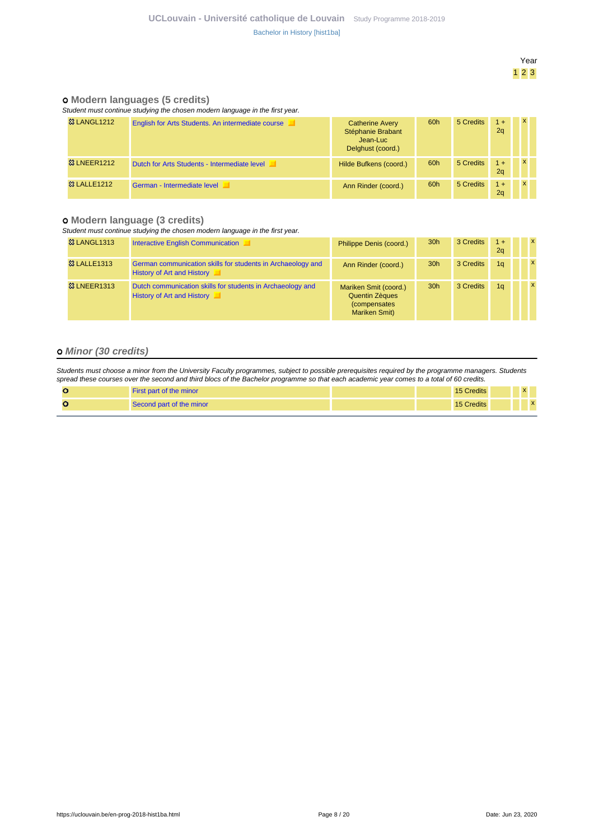#### **Modern languages (5 credits)**

Student must continue studying the chosen modern language in the first year.

| <b>&amp; LANGL1212</b> | English for Arts Students. An intermediate course | <b>Catherine Avery</b><br>Stéphanie Brabant<br>Jean-Luc<br>Delghust (coord.) | 60h | 5 Credits | $1 +$<br>2q             |  |
|------------------------|---------------------------------------------------|------------------------------------------------------------------------------|-----|-----------|-------------------------|--|
| <b>&amp; LNEER1212</b> | Dutch for Arts Students - Intermediate level      | Hilde Bufkens (coord.)                                                       | 60h | 5 Credits | $1 +$<br>2 <sub>a</sub> |  |
| <b>&amp; LALLE1212</b> | German - Intermediate level                       | Ann Rinder (coord.)                                                          | 60h | 5 Credits | $1 +$<br>2q             |  |

#### **Modern language (3 credits)**

#### Student must continue studying the chosen modern language in the first year.

| <b>&amp; LANGL1313</b>  | <b>Interactive English Communication</b>                                                        | Philippe Denis (coord.)                                                                 | 30 <sub>h</sub> | 3 Credits | $1 +$<br>2q    | $\mathsf{x}$ |
|-------------------------|-------------------------------------------------------------------------------------------------|-----------------------------------------------------------------------------------------|-----------------|-----------|----------------|--------------|
| <b>&amp;3 LALLE1313</b> | German communication skills for students in Archaeology and<br>History of Art and History       | Ann Rinder (coord.)                                                                     | 30 <sub>h</sub> | 3 Credits | 1 <sub>a</sub> | $\mathsf{x}$ |
| <b>&amp; LNEER1313</b>  | Dutch communication skills for students in Archaeology and<br><b>History of Art and History</b> | Mariken Smit (coord.)<br><b>Quentin Zèques</b><br><i>(compensates)</i><br>Mariken Smit) | 30 <sub>h</sub> | 3 Credits | 1 <sub>a</sub> | $\mathsf{x}$ |

#### **Minor (30 credits)**

Students must choose a minor from the University Faculty programmes, subject to possible prerequisites required by the programme managers. Students spread these courses over the second and third blocs of the Bachelor programme so that each academic year comes to a total of 60 credits.

| ັ<br>First part of the minor | <b>15 Credits</b> |  |              |
|------------------------------|-------------------|--|--------------|
| Second part of the minor     | 15 Credits        |  | $\mathsf{x}$ |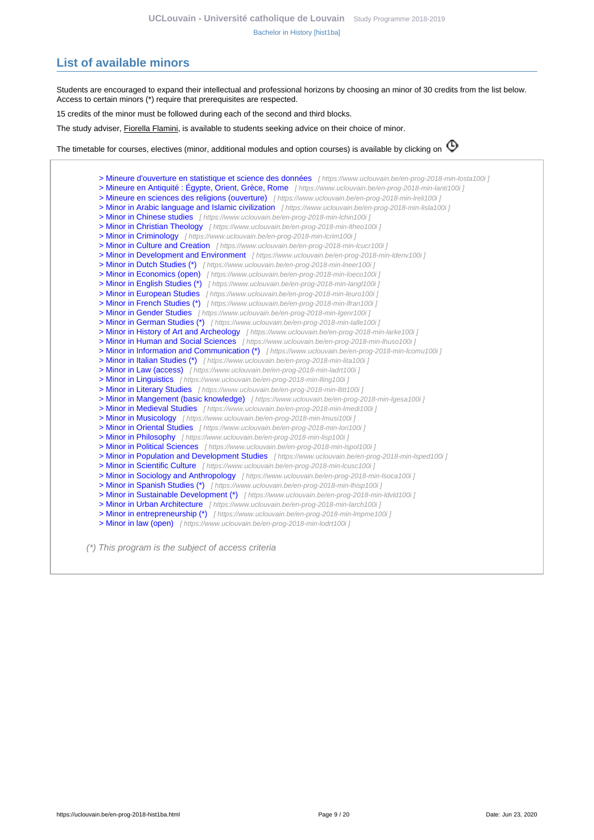# <span id="page-8-0"></span>**List of available minors**

Students are encouraged to expand their intellectual and professional horizons by choosing an minor of 30 credits from the list below. Access to certain minors (\*) require that prerequisites are respected.

15 credits of the minor must be followed during each of the second and third blocks.

The study adviser, Fiorella Flamini, is available to students seeking advice on their choice of minor.

Thetimetable for courses, electives (minor, additional modules and option courses) is available by clicking on  $\Phi$ 



[> Mineure d'ouverture en statistique et science des données](https://www.uclouvain.be/en-prog-2018-min-losta100i) [ https://www.uclouvain.be/en-prog-2018-min-losta100i ] [> Mineure en Antiquité : Égypte, Orient, Grèce, Rome](https://www.uclouvain.be/en-prog-2018-min-lanti100i) [ https://www.uclouvain.be/en-prog-2018-min-lanti100i ] [> Mineure en sciences des religions \(ouverture\)](https://www.uclouvain.be/en-prog-2018-min-lreli100i) [ https://www.uclouvain.be/en-prog-2018-min-lreli100i ] [> Minor in Arabic language and Islamic civilization](https://www.uclouvain.be/en-prog-2018-min-lisla100i) [ https://www.uclouvain.be/en-prog-2018-min-lisla100i ] [> Minor in Chinese studies](https://www.uclouvain.be/en-prog-2018-min-lchin100i) [ https://www.uclouvain.be/en-prog-2018-min-lchin100i ] [> Minor in Christian Theology](https://www.uclouvain.be/en-prog-2018-min-ltheo100i) [ https://www.uclouvain.be/en-prog-2018-min-ltheo100i ] [> Minor in Criminology](https://www.uclouvain.be/en-prog-2018-min-lcrim100i) [ https://www.uclouvain.be/en-prog-2018-min-lcrim100i ] [> Minor in Culture and Creation](https://www.uclouvain.be/en-prog-2018-min-lcucr100i) [ https://www.uclouvain.be/en-prog-2018-min-lcucr100i ] [> Minor in Development and Environment](https://www.uclouvain.be/en-prog-2018-min-ldenv100i) [ https://www.uclouvain.be/en-prog-2018-min-Idenv100i ] [> Minor in Dutch Studies \(\\*\)](https://www.uclouvain.be/en-prog-2018-min-lneer100i) [ https://www.uclouvain.be/en-prog-2018-min-Ineer100i ] [> Minor in Economics \(open\)](https://www.uclouvain.be/en-prog-2018-min-loeco100i) [ https://www.uclouvain.be/en-prog-2018-min-loeco100i ] [> Minor in English Studies \(\\*\)](https://www.uclouvain.be/en-prog-2018-min-langl100i) [ https://www.uclouvain.be/en-prog-2018-min-langl100i ] [> Minor in European Studies](https://www.uclouvain.be/en-prog-2018-min-leuro100i) [ https://www.uclouvain.be/en-prog-2018-min-leuro100i ] [> Minor in French Studies \(\\*\)](https://www.uclouvain.be/en-prog-2018-min-lfran100i) [ https://www.uclouvain.be/en-prog-2018-min-Ifran100i ] [> Minor in Gender Studies](https://www.uclouvain.be/en-prog-2018-min-lgenr100i) [ https://www.uclouvain.be/en-prog-2018-min-Igenr100i ] [> Minor in German Studies \(\\*\)](https://www.uclouvain.be/en-prog-2018-min-lalle100i) [ https://www.uclouvain.be/en-prog-2018-min-lalle100i ] [> Minor in History of Art and Archeology](https://www.uclouvain.be/en-prog-2018-min-larke100i) [ https://www.uclouvain.be/en-prog-2018-min-larke100i ] [> Minor in Human and Social Sciences](https://www.uclouvain.be/en-prog-2018-min-lhuso100i) [ https://www.uclouvain.be/en-prog-2018-min-lhuso100i ] [> Minor in Information and Communication \(\\*\)](https://www.uclouvain.be/en-prog-2018-min-lcomu100i) [ https://www.uclouvain.be/en-prog-2018-min-lcomu100i ] [> Minor in Italian Studies \(\\*\)](https://www.uclouvain.be/en-prog-2018-min-lita100i) [ https://www.uclouvain.be/en-prog-2018-min-lita100i ] [> Minor in Law \(access\)](https://www.uclouvain.be/en-prog-2018-min-ladrt100i) [ https://www.uclouvain.be/en-prog-2018-min-ladrt100i ] [> Minor in Linguistics](https://www.uclouvain.be/en-prog-2018-min-lling100i) [ https://www.uclouvain.be/en-prog-2018-min-Iling100i ] [> Minor in Literary Studies](https://www.uclouvain.be/en-prog-2018-min-llitt100i) [ https://www.uclouvain.be/en-prog-2018-min-llitt100i ] [> Minor in Mangement \(basic knowledge\)](https://www.uclouvain.be/en-prog-2018-min-lgesa100i) [ https://www.uclouvain.be/en-prog-2018-min-Igesa100i ] [> Minor in Medieval Studies](https://www.uclouvain.be/en-prog-2018-min-lmedi100i) [ https://www.uclouvain.be/en-prog-2018-min-Imedi100i ] [> Minor in Musicology](https://www.uclouvain.be/en-prog-2018-min-lmusi100i) [ https://www.uclouvain.be/en-prog-2018-min-Imusi100i ] [> Minor in Oriental Studies](https://www.uclouvain.be/en-prog-2018-min-lori100i) [ https://www.uclouvain.be/en-prog-2018-min-lori100i ] [> Minor in Philosophy](https://www.uclouvain.be/en-prog-2018-min-lisp100i) [ https://www.uclouvain.be/en-prog-2018-min-lisp100i ] [> Minor in Political Sciences](https://www.uclouvain.be/en-prog-2018-min-lspol100i) [ https://www.uclouvain.be/en-prog-2018-min-lspol100i ] [> Minor in Population and Development Studies](https://www.uclouvain.be/en-prog-2018-min-lsped100i) [ https://www.uclouvain.be/en-prog-2018-min-lsped100i ] [> Minor in Scientific Culture](https://www.uclouvain.be/en-prog-2018-min-lcusc100i) [ https://www.uclouvain.be/en-prog-2018-min-lcusc100i ] [> Minor in Sociology and Anthropology](https://www.uclouvain.be/en-prog-2018-min-lsoca100i) [ https://www.uclouvain.be/en-prog-2018-min-Isoca100i ] [> Minor in Spanish Studies \(\\*\)](https://www.uclouvain.be/en-prog-2018-min-lhisp100i) [ https://www.uclouvain.be/en-prog-2018-min-lhisp100i ] [> Minor in Sustainable Development \(\\*\)](https://www.uclouvain.be/en-prog-2018-min-ldvld100i) [ https://www.uclouvain.be/en-prog-2018-min-Idvld100i ] [> Minor in Urban Architecture](https://www.uclouvain.be/en-prog-2018-min-larch100i) [ https://www.uclouvain.be/en-prog-2018-min-larch100i ] [> Minor in entrepreneurship \(\\*\)](https://www.uclouvain.be/en-prog-2018-min-lmpme100i) [ https://www.uclouvain.be/en-prog-2018-min-Impme100i ] [> Minor in law \(open\)](https://www.uclouvain.be/en-prog-2018-min-lodrt100i) [ https://www.uclouvain.be/en-prog-2018-min-lodrt100i ] (\*) This program is the subject of access criteria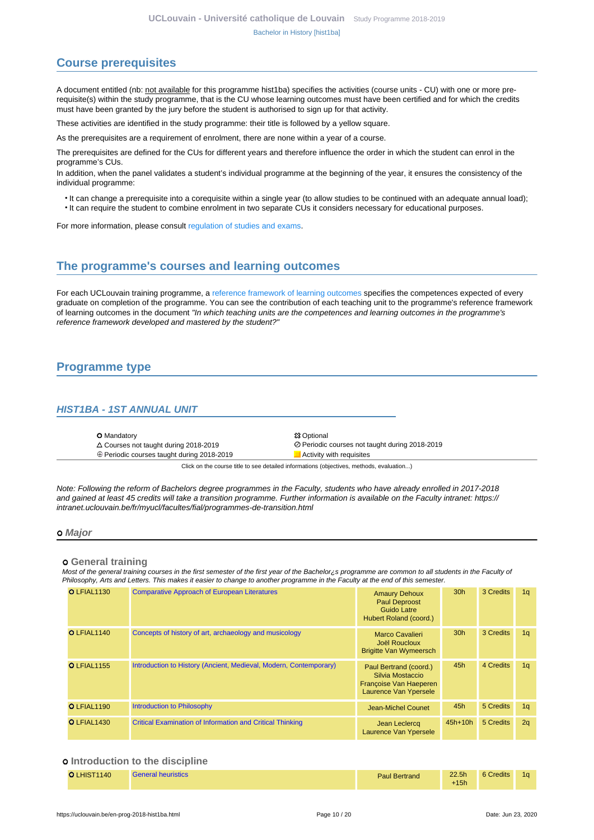# <span id="page-9-0"></span>**Course prerequisites**

A document entitled (nb: not available for this programme hist1ba) specifies the activities (course units - CU) with one or more prerequisite(s) within the study programme, that is the CU whose learning outcomes must have been certified and for which the credits must have been granted by the jury before the student is authorised to sign up for that activity.

These activities are identified in the study programme: their title is followed by a yellow square.

As the prerequisites are a requirement of enrolment, there are none within a year of a course.

The prerequisites are defined for the CUs for different years and therefore influence the order in which the student can enrol in the programme's CUs.

In addition, when the panel validates a student's individual programme at the beginning of the year, it ensures the consistency of the individual programme:

- It can change a prerequisite into a corequisite within a single year (to allow studies to be continued with an adequate annual load);
- It can require the student to combine enrolment in two separate CUs it considers necessary for educational purposes.

For more information, please consult [regulation of studies and exams.](https://uclouvain.be/en-enseignement-reglements.html)

# <span id="page-9-1"></span>**The programme's courses and learning outcomes**

For each UCLouvain training programme, a [reference framework of learning outcomes](https://uclouvain.be/en-prog-2018-hist1ba-competences_et_acquis.html) specifies the competences expected of every graduate on completion of the programme. You can see the contribution of each teaching unit to the programme's reference framework of learning outcomes in the document "In which teaching units are the competences and learning outcomes in the programme's reference framework developed and mastered by the student?"

# <span id="page-9-2"></span>**Programme type**

#### <span id="page-9-3"></span>**HIST1BA - 1ST ANNUAL UNIT**

**O** Mandatory **S** Optional  $\oplus$  Periodic courses taught during 2018-2019

Courses not taught during 2018-2019 Periodic courses not taught during 2018-2019

Click on the course title to see detailed informations (objectives, methods, evaluation...)

Note: Following the reform of Bachelors degree programmes in the Faculty, students who have already enrolled in 2017-2018 and gained at least 45 credits will take a transition programme. Further information is available on the Faculty intranet: https:// intranet.uclouvain.be/fr/myucl/facultes/fial/programmes-de-transition.html

#### **Major**

#### **General training**

Most of the general training courses in the first semester of the first year of the Bachelor; s programme are common to all students in the Faculty of Philosophy, Arts and Letters. This makes it easier to change to another programme in the Faculty at the end of this semester.

| O LFIAL1130        | <b>Comparative Approach of European Literatures</b>               | <b>Amaury Dehoux</b><br><b>Paul Deproost</b><br>Guido Latre<br>Hubert Roland (coord.)         | 30 <sub>h</sub> | 3 Credits | 1q             |
|--------------------|-------------------------------------------------------------------|-----------------------------------------------------------------------------------------------|-----------------|-----------|----------------|
| O LFIAL1140        | Concepts of history of art, archaeology and musicology            | Marco Cavalieri<br>Joël Roucloux<br><b>Brigitte Van Wymeersch</b>                             | 30 <sub>h</sub> | 3 Credits | 1q             |
| <b>O LFIAL1155</b> | Introduction to History (Ancient, Medieval, Modern, Contemporary) | Paul Bertrand (coord.)<br>Silvia Mostaccio<br>Françoise Van Haeperen<br>Laurence Van Ypersele | 45h             | 4 Credits | 1q             |
| <b>O</b> LFIAL1190 | Introduction to Philosophy                                        | Jean-Michel Counet                                                                            | 45h             | 5 Credits | 1 <sub>q</sub> |
| O LFIAL1430        | <b>Critical Examination of Information and Critical Thinking</b>  | Jean Leclercq<br>Laurence Van Ypersele                                                        | $45h+10h$       | 5 Credits | 2q             |

#### $o$  Introduction to the discipline

| <b>O LHIST1140</b> | General heuristics | <b>Paul Bertrand</b> | 22.5 <sub>h</sub> | 6 Credits | 1 <sub>a</sub> |
|--------------------|--------------------|----------------------|-------------------|-----------|----------------|
|                    |                    |                      | $+15h$            |           |                |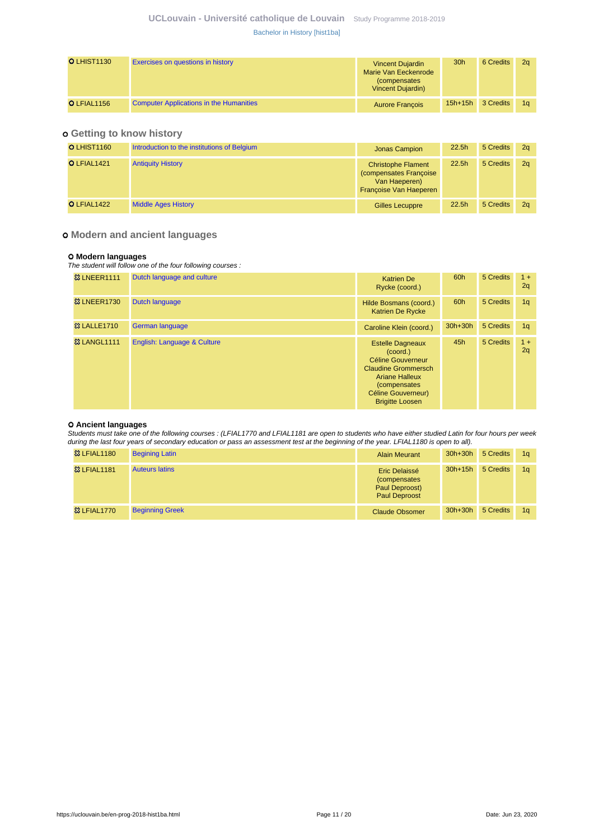### **UCLouvain - Université catholique de Louvain** [Study Programme 2018-2019](https://uclouvain.be/en/study-programme) [Bachelor in History \[hist1ba\]](https://uclouvain.be/en-prog-2018-hist1ba.html)

| <b>O LHIST1130</b> | Exercises on questions in history              | <b>Vincent Dujardin</b><br>Marie Van Eeckenrode<br><i>(compensates)</i><br>Vincent Dujardin) | 30 <sub>h</sub> | 6 Credits | 2a |
|--------------------|------------------------------------------------|----------------------------------------------------------------------------------------------|-----------------|-----------|----|
| O LFIAL1156        | <b>Computer Applications in the Humanities</b> | <b>Aurore Francois</b>                                                                       | $15h+15h$       | 3 Credits | 1a |

#### **Getting to know history**

| O LHIST1160 | Introduction to the institutions of Belgium | Jonas Campion                                                                                  | 22.5h | 5 Credits | - 2a           |
|-------------|---------------------------------------------|------------------------------------------------------------------------------------------------|-------|-----------|----------------|
| O LFIAL1421 | <b>Antiquity History</b>                    | <b>Christophe Flament</b><br>(compensates Françoise<br>Van Haeperen)<br>Françoise Van Haeperen | 22.5h | 5 Credits | 2a             |
| O LFIAL1422 | <b>Middle Ages History</b>                  | Gilles Lecuppre                                                                                | 22.5h | 5 Credits | 2 <sub>a</sub> |

#### **Modern and ancient languages**

### **Modern languages**

The student will follow one of the four following courses :

| <b>&amp; LNEER1111</b>  | Dutch language and culture  | <b>Katrien De</b><br>Rycke (coord.)                                                                                                                                                            | 60h       | 5 Credits | $1 +$<br>2q    |
|-------------------------|-----------------------------|------------------------------------------------------------------------------------------------------------------------------------------------------------------------------------------------|-----------|-----------|----------------|
| <b>&amp; LNEER1730</b>  | <b>Dutch language</b>       | Hilde Bosmans (coord.)<br><b>Katrien De Rycke</b>                                                                                                                                              | 60h       | 5 Credits | 1 <sub>q</sub> |
| <b>&amp;3 LALLE1710</b> | <b>German language</b>      | Caroline Klein (coord.)                                                                                                                                                                        | $30h+30h$ | 5 Credits | 1 <sub>q</sub> |
| <b>&amp;3 LANGL1111</b> | English: Language & Culture | <b>Estelle Dagneaux</b><br>(coord.)<br><b>Céline Gouverneur</b><br><b>Claudine Grommersch</b><br><b>Ariane Halleux</b><br><i>(compensates)</i><br>Céline Gouverneur)<br><b>Brigitte Loosen</b> | 45h       | 5 Credits | $1 +$<br>2q    |

#### **Ancient languages**

Students must take one of the following courses : (LFIAL1770 and LFIAL1181 are open to students who have either studied Latin for four hours per week during the last four years of secondary education or pass an assessment test at the beginning of the year. LFIAL1180 is open to all).

| <b>&amp; LFIAL1180</b> | <b>Begining Latin</b>  | <b>Alain Meurant</b>                                                            | $30h+30h$ | 5 Credits | 1 <sup>a</sup> |
|------------------------|------------------------|---------------------------------------------------------------------------------|-----------|-----------|----------------|
| <b>83 LFIAL1181</b>    | <b>Auteurs latins</b>  | Eric Delaissé<br><i>(compensates)</i><br>Paul Deproost)<br><b>Paul Deproost</b> | $30h+15h$ | 5 Credits | 1 <sub>a</sub> |
| <b>&amp; LFIAL1770</b> | <b>Beginning Greek</b> | <b>Claude Obsomer</b>                                                           | $30h+30h$ | 5 Credits | 1 <sub>a</sub> |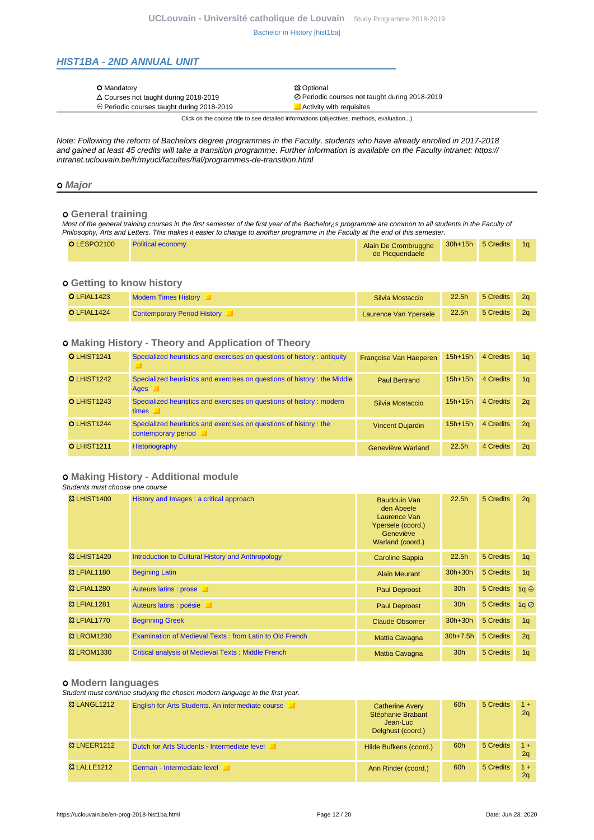# <span id="page-11-0"></span>**HIST1BA - 2ND ANNUAL UNIT**

| <b>O</b> Mandatory                                | <b>83 Optional</b>                             |
|---------------------------------------------------|------------------------------------------------|
| $\triangle$ Courses not taught during 2018-2019   | ⊘ Periodic courses not taught during 2018-2019 |
| $\oplus$ Periodic courses taught during 2018-2019 | Activity with requisites                       |

Click on the course title to see detailed informations (objectives, methods, evaluation...)

Note: Following the reform of Bachelors degree programmes in the Faculty, students who have already enrolled in 2017-2018 and gained at least 45 credits will take a transition programme. Further information is available on the Faculty intranet: https:// intranet.uclouvain.be/fr/myucl/facultes/fial/programmes-de-transition.html

#### **Major**

#### **General training**

Most of the general training courses in the first semester of the first year of the Bachelor¿s programme are common to all students in the Faculty of Philosophy, Arts and Letters. This makes it easier to change to another programme in the Faculty at the end of this semester.

| O LESPO2100<br><b>Political economy</b> | Alain De Crombrugghe<br>de Picquendaele | 30h+15h 5 Credits |  | 10 <sup>°</sup> |
|-----------------------------------------|-----------------------------------------|-------------------|--|-----------------|
|-----------------------------------------|-----------------------------------------|-------------------|--|-----------------|

#### **Getting to know history**

| <b>O</b> LFIAL1423 | <b>Modern Times History</b>        | Silvia Mostaccio      | 22.5h | 5 Credits |  |
|--------------------|------------------------------------|-----------------------|-------|-----------|--|
| $O$ LFIAL1424      | <b>Contemporary Period History</b> | Laurence Van Ypersele | 22.5h | 5 Credits |  |

#### **Making History - Theory and Application of Theory**

| <b>O</b> LHIST1241 | Specialized heuristics and exercises on questions of history : antiquity                  | Françoise Van Haeperen  | $15h+15h$ | 4 Credits | 1 <sub>a</sub> |
|--------------------|-------------------------------------------------------------------------------------------|-------------------------|-----------|-----------|----------------|
| <b>O</b> LHIST1242 | Specialized heuristics and exercises on questions of history : the Middle<br>Ages         | <b>Paul Bertrand</b>    | $15h+15h$ | 4 Credits | 1a             |
| <b>O LHIST1243</b> | Specialized heuristics and exercises on questions of history: modern<br><b>times</b>      | Silvia Mostaccio        | $15h+15h$ | 4 Credits | 2 <sub>a</sub> |
| <b>O</b> LHIST1244 | Specialized heuristics and exercises on questions of history : the<br>contemporary period | <b>Vincent Dujardin</b> | $15h+15h$ | 4 Credits | 2 <sub>a</sub> |
| <b>O</b> LHIST1211 | <b>Historiography</b>                                                                     | Geneviève Warland       | 22.5h     | 4 Credits | 2 <sub>a</sub> |

### **Making History - Additional module**

Students must choose one course

| <b>&amp; LHIST1400</b>  | History and Images: a critical approach                   | Baudouin Van<br>den Abeele<br>Laurence Van<br>Ypersele (coord.)<br>Geneviève<br>Warland (coord.) | 22.5 <sub>h</sub> | 5 Credits | 2q                                 |
|-------------------------|-----------------------------------------------------------|--------------------------------------------------------------------------------------------------|-------------------|-----------|------------------------------------|
| <b>&amp; LHIST1420</b>  | Introduction to Cultural History and Anthropology         | <b>Caroline Sappia</b>                                                                           | 22.5 <sub>h</sub> | 5 Credits | 1q                                 |
| <b>&amp; LFIAL1180</b>  | <b>Begining Latin</b>                                     | <b>Alain Meurant</b>                                                                             | $30h+30h$         | 5 Credits | 1q                                 |
| <b>&amp;3 LFIAL1280</b> | Auteurs latins : prose                                    | <b>Paul Deproost</b>                                                                             | 30 <sub>h</sub>   | 5 Credits | 1q $\oplus$                        |
| 83 LFIAL1281            | Auteurs latins : poésie                                   | <b>Paul Deproost</b>                                                                             | 30h               | 5 Credits | $1q$ <sup><math>\odot</math></sup> |
| <b>&amp;3 LFIAL1770</b> | <b>Beginning Greek</b>                                    | <b>Claude Obsomer</b>                                                                            | $30h+30h$         | 5 Credits | 1 <sub>q</sub>                     |
| <b>&amp;3 LROM1230</b>  | Examination of Medieval Texts: from Latin to Old French   | <b>Mattia Cavagna</b>                                                                            | $30h+7.5h$        | 5 Credits | 2q                                 |
| <b>&amp; LROM1330</b>   | <b>Critical analysis of Medieval Texts: Middle French</b> | <b>Mattia Cavagna</b>                                                                            | 30 <sub>h</sub>   | 5 Credits | 1q                                 |

#### **Modern languages**

Student must continue studying the chosen modern language in the first year.

| <b>&amp; LANGL1212</b>  | English for Arts Students. An intermediate course | <b>Catherine Avery</b><br>Stéphanie Brabant<br>Jean-Luc<br>Delghust (coord.) | 60h | 5 Credits | $1 +$<br>2q |
|-------------------------|---------------------------------------------------|------------------------------------------------------------------------------|-----|-----------|-------------|
| <b>&amp; LNEER1212</b>  | Dutch for Arts Students - Intermediate level      | Hilde Bufkens (coord.)                                                       | 60h | 5 Credits | $1 +$<br>2q |
| <b>&amp;3 LALLE1212</b> | German - Intermediate level                       | Ann Rinder (coord.)                                                          | 60h | 5 Credits | $1 +$<br>2q |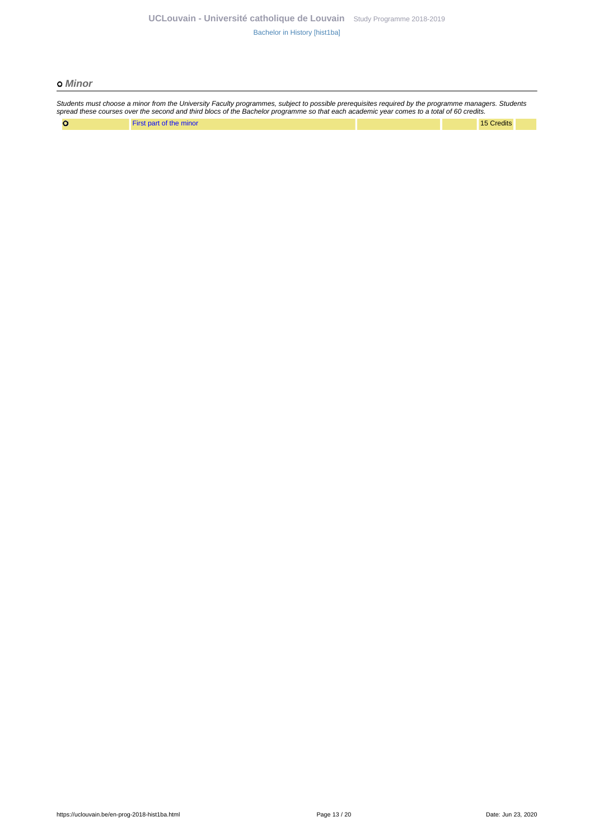#### **Minor**

Students must choose a minor from the University Faculty programmes, subject to possible prerequisites required by the programme managers. Students spread these courses over the second and third blocs of the Bachelor programme so that each academic year comes to a total of 60 credits.  $\bullet$ **[First part of the minor](https://uclouvain.be/cours-2018-)** 15 Credits **15 Credits 15 Credits**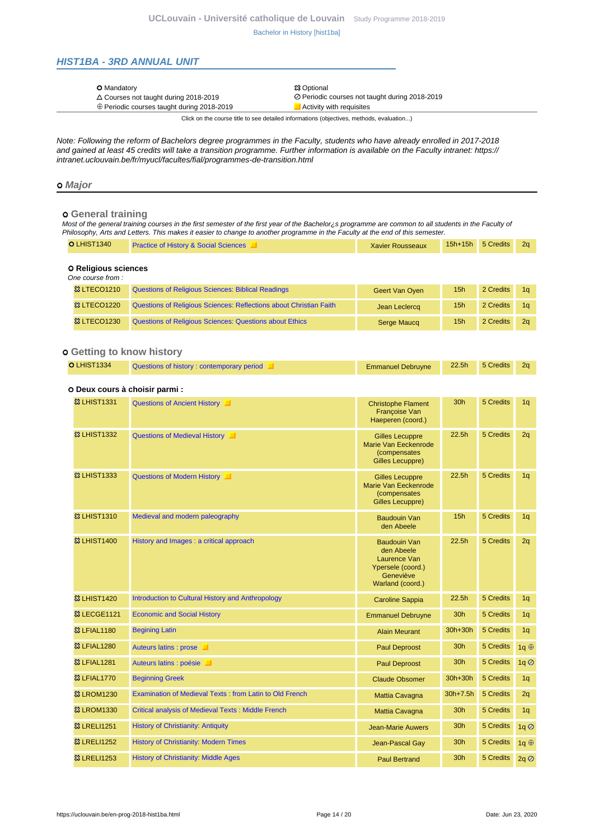#### <span id="page-13-0"></span>**HIST1BA - 3RD ANNUAL UNIT**

| <b>O</b> Mandatory                                | <b>83 Optional</b>                             |
|---------------------------------------------------|------------------------------------------------|
| $\triangle$ Courses not taught during 2018-2019   | ⊘ Periodic courses not taught during 2018-2019 |
| $\oplus$ Periodic courses taught during 2018-2019 | Activity with requisites                       |

Click on the course title to see detailed informations (objectives, methods, evaluation...)

Note: Following the reform of Bachelors degree programmes in the Faculty, students who have already enrolled in 2017-2018 and gained at least 45 credits will take a transition programme. Further information is available on the Faculty intranet: https:// intranet.uclouvain.be/fr/myucl/facultes/fial/programmes-de-transition.html

#### **Major**

#### **General training**

Most of the general training courses in the first semester of the first year of the Bachelor¿s programme are common to all students in the Faculty of Philosophy, Arts and Letters. This makes it easier to change to another programme in the Faculty at the end of this semester.

| <b>O</b> LHIST1340                              | <b>Practice of History &amp; Social Sciences</b>                   | <b>Xavier Rousseaux</b> | $15h+15h$       | 5 Credits | 2 <sub>a</sub> |
|-------------------------------------------------|--------------------------------------------------------------------|-------------------------|-----------------|-----------|----------------|
| <b>O Religious sciences</b><br>One course from: |                                                                    |                         |                 |           |                |
| <b>&amp; LTECO1210</b>                          | Questions of Religious Sciences: Biblical Readings                 | <b>Geert Van Oyen</b>   | 15h             | 2 Credits | 1 <sub>a</sub> |
| <b>&amp; LTECO1220</b>                          | Questions of Religious Sciences: Reflections about Christian Faith | Jean Leclercq           | 15 <sub>h</sub> | 2 Credits | 1 <sub>a</sub> |
| <b>&amp; LTECO1230</b>                          | Questions of Religious Sciences: Questions about Ethics            | Serge Maucq             | 15h             | 2 Credits | 2 <sub>a</sub> |

### **Getting to know history**

| <b>O</b> LHIST1334<br>Questions of history: contemporary period | <b>Emmanuel Debruyne</b> |  | 22.5h 5 Credits 2g |  |
|-----------------------------------------------------------------|--------------------------|--|--------------------|--|
|-----------------------------------------------------------------|--------------------------|--|--------------------|--|

#### **Deux cours à choisir parmi :**

| <b>83 LHIST1331</b>     | Questions of Ancient History                              | <b>Christophe Flament</b><br>Francoise Van<br>Haeperen (coord.)                                         | 30 <sub>h</sub>   | 5 Credits | 1q                                 |
|-------------------------|-----------------------------------------------------------|---------------------------------------------------------------------------------------------------------|-------------------|-----------|------------------------------------|
| <b>83 LHIST1332</b>     | Questions of Medieval History                             | <b>Gilles Lecuppre</b><br>Marie Van Eeckenrode<br>(compensates<br>Gilles Lecuppre)                      | 22.5 <sub>h</sub> | 5 Credits | 2q                                 |
| <b>&amp;3 LHIST1333</b> | Questions of Modern History                               | <b>Gilles Lecuppre</b><br>Marie Van Eeckenrode<br>(compensates<br>Gilles Lecuppre)                      | 22.5h             | 5 Credits | 1q                                 |
| <b>83 LHIST1310</b>     | Medieval and modern paleography                           | <b>Baudouin Van</b><br>den Abeele                                                                       | 15 <sub>h</sub>   | 5 Credits | 1q                                 |
| <b>&amp;3 LHIST1400</b> | History and Images : a critical approach                  | <b>Baudouin Van</b><br>den Abeele<br>Laurence Van<br>Ypersele (coord.)<br>Geneviève<br>Warland (coord.) | 22.5 <sub>h</sub> | 5 Credits | 2q                                 |
| <b>&amp;3 LHIST1420</b> | Introduction to Cultural History and Anthropology         | <b>Caroline Sappia</b>                                                                                  | 22.5 <sub>h</sub> | 5 Credits | 1q                                 |
| <b>&amp; LECGE1121</b>  | <b>Economic and Social History</b>                        | <b>Emmanuel Debruyne</b>                                                                                | 30h               | 5 Credits | 1q                                 |
| <b>&amp;3 LFIAL1180</b> | <b>Begining Latin</b>                                     | <b>Alain Meurant</b>                                                                                    | 30h+30h           | 5 Credits | 1q                                 |
| <sup>33</sup> LFIAL1280 | Auteurs latins : prose                                    | <b>Paul Deproost</b>                                                                                    | 30h               | 5 Credits | 1q $oplus$                         |
| <b>83 LFIAL1281</b>     | Auteurs latins : poésie                                   | <b>Paul Deproost</b>                                                                                    | 30h               | 5 Credits | $1q$ <sup><math>\odot</math></sup> |
| <b>83 LFIAL1770</b>     | <b>Beginning Greek</b>                                    | <b>Claude Obsomer</b>                                                                                   | 30h+30h           | 5 Credits | 1q                                 |
| <b>&amp; LROM1230</b>   | Examination of Medieval Texts: from Latin to Old French   | Mattia Cavagna                                                                                          | $30h+7.5h$        | 5 Credits | 2q                                 |
| <b>&amp;3 LROM1330</b>  | <b>Critical analysis of Medieval Texts: Middle French</b> | Mattia Cavagna                                                                                          | 30 <sub>h</sub>   | 5 Credits | 1q                                 |
| 83 LRELI1251            | <b>History of Christianity: Antiquity</b>                 | <b>Jean-Marie Auwers</b>                                                                                | 30 <sub>h</sub>   | 5 Credits | 1q                                 |
| <b>&amp; LRELI1252</b>  | <b>History of Christianity: Modern Times</b>              | Jean-Pascal Gay                                                                                         | 30 <sub>h</sub>   | 5 Credits | 1q $oplus$                         |
| <sup>3</sup> LRELI1253  | <b>History of Christianity: Middle Ages</b>               | <b>Paul Bertrand</b>                                                                                    | 30h               | 5 Credits | 2q                                 |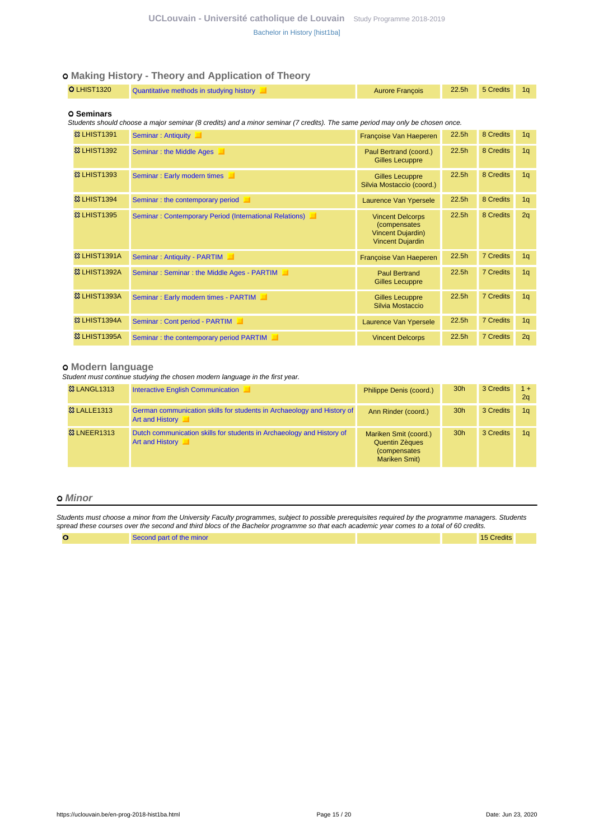#### **Making History - Theory and Application of Theory**

| <b>O LHIST1320</b><br>22.5h 5 Credits<br>Quantitative methods in studying history<br><b>Aurore Francois</b> |  |  |  |  |
|-------------------------------------------------------------------------------------------------------------|--|--|--|--|
|                                                                                                             |  |  |  |  |

#### **Seminars**

Students should choose a major seminar (8 credits) and a minor seminar (7 credits). The same period may only be chosen once.

| <b>83 LHIST1391</b>      | Seminar: Antiquity                                     | Françoise Van Haeperen                                                                         | 22.5h             | 8 Credits        | 1 <sub>q</sub> |
|--------------------------|--------------------------------------------------------|------------------------------------------------------------------------------------------------|-------------------|------------------|----------------|
| <b>&amp;3 LHIST1392</b>  | Seminar: the Middle Ages<br>ш                          | Paul Bertrand (coord.)<br><b>Gilles Lecuppre</b>                                               | 22.5h             | 8 Credits        | 1q             |
| <b>&amp;3 LHIST1393</b>  | Seminar: Early modern times                            | <b>Gilles Lecuppre</b><br>Silvia Mostaccio (coord.)                                            | 22.5 <sub>h</sub> | 8 Credits        | 1 <sub>q</sub> |
| <b>&amp;3 LHIST1394</b>  | Seminar: the contemporary period                       | Laurence Van Ypersele                                                                          | 22.5 <sub>h</sub> | 8 Credits        | 1q             |
| <b>&amp;3 LHIST1395</b>  | Seminar: Contemporary Period (International Relations) | <b>Vincent Delcorps</b><br>(compensates<br><b>Vincent Dujardin)</b><br><b>Vincent Dujardin</b> | 22.5h             | 8 Credits        | 2q             |
| <b>83 LHIST1391A</b>     | Seminar: Antiquity - PARTIM                            | Françoise Van Haeperen                                                                         | 22.5 <sub>h</sub> | <b>7 Credits</b> | 1q             |
| 83 LHIST1392A            | Seminar: Seminar: the Middle Ages - PARTIM             | <b>Paul Bertrand</b><br><b>Gilles Lecuppre</b>                                                 | 22.5 <sub>h</sub> | <b>7 Credits</b> | 1 <sub>q</sub> |
| <b>83 LHIST1393A</b>     | Seminar: Early modern times - PARTIM                   | <b>Gilles Lecuppre</b><br>Silvia Mostaccio                                                     | 22.5 <sub>h</sub> | <b>7 Credits</b> | 1 <sub>q</sub> |
| <sup>33</sup> LHIST1394A | Seminar: Cont period - PARTIM                          | Laurence Van Ypersele                                                                          | 22.5h             | <b>7 Credits</b> | 1q             |
| <b>83 LHIST1395A</b>     | Seminar: the contemporary period PARTIM                | <b>Vincent Delcorps</b>                                                                        | 22.5 <sub>h</sub> | <b>7 Credits</b> | 2q             |

#### **Modern language**

Student must continue studying the chosen modern language in the first year.

| <b>&amp;3 LANGL1313</b> | <b>Interactive English Communication</b>                                                         | Philippe Denis (coord.)                                                                 | 30 <sub>h</sub> | 3 Credits | $1 +$<br>2q    |
|-------------------------|--------------------------------------------------------------------------------------------------|-----------------------------------------------------------------------------------------|-----------------|-----------|----------------|
| <b>&amp; LALLE1313</b>  | German communication skills for students in Archaeology and History of<br><b>Art and History</b> | Ann Rinder (coord.)                                                                     | 30 <sub>h</sub> | 3 Credits | 1 <sub>a</sub> |
| <b>&amp; LNEER1313</b>  | Dutch communication skills for students in Archaeology and History of<br>Art and History         | Mariken Smit (coord.)<br><b>Quentin Zèques</b><br><i>(compensates)</i><br>Mariken Smit) | 30 <sub>h</sub> | 3 Credits | 1a             |

#### **Minor**

Students must choose a minor from the University Faculty programmes, subject to possible prerequisites required by the programme managers. Students spread these courses over the second and third blocs of the Bachelor programme so that each academic year comes to a total of 60 credits.

[Second part of the minor](https://uclouvain.be/cours-2018-) 15 Credits and 15 Credits and 15 Credits and 15 Credits and 15 Credits and 15 Credits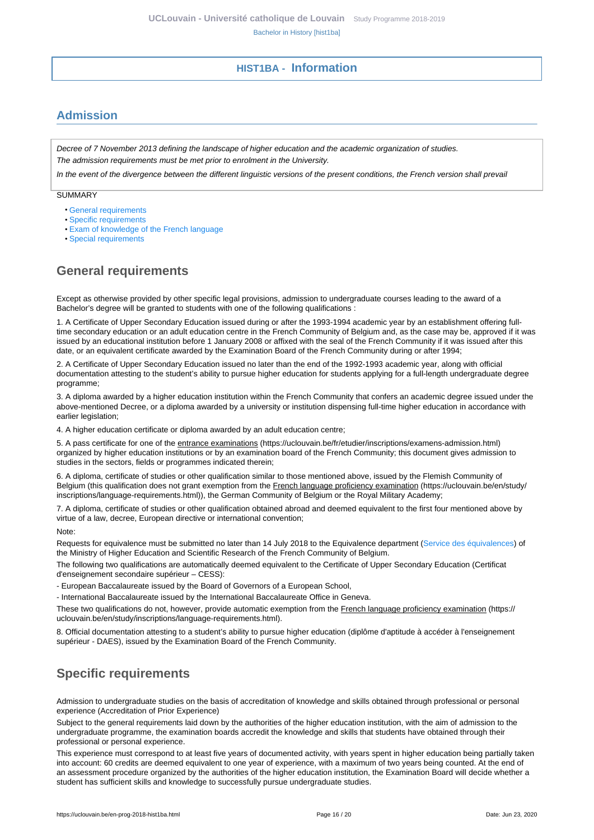# **HIST1BA - Information**

# <span id="page-15-1"></span><span id="page-15-0"></span>**Admission**

Decree of 7 November 2013 defining the landscape of higher education and the academic organization of studies. The admission requirements must be met prior to enrolment in the University.

In the event of the divergence between the different linguistic versions of the present conditions, the French version shall prevail

SUMMARY

- [General requirements](#page-15-2)
- [Specific requirements](#page-15-3)
- [Exam of knowledge of the French language](#page-16-0)
- [Special requirements](#page-16-1)

# <span id="page-15-2"></span>**General requirements**

Except as otherwise provided by other specific legal provisions, admission to undergraduate courses leading to the award of a Bachelor's degree will be granted to students with one of the following qualifications :

1. A Certificate of Upper Secondary Education issued during or after the 1993-1994 academic year by an establishment offering fulltime secondary education or an adult education centre in the French Community of Belgium and, as the case may be, approved if it was issued by an educational institution before 1 January 2008 or affixed with the seal of the French Community if it was issued after this date, or an equivalent certificate awarded by the Examination Board of the French Community during or after 1994;

2. A Certificate of Upper Secondary Education issued no later than the end of the 1992-1993 academic year, along with official documentation attesting to the student's ability to pursue higher education for students applying for a full-length undergraduate degree programme;

3. A diploma awarded by a higher education institution within the French Community that confers an academic degree issued under the above-mentioned Decree, or a diploma awarded by a university or institution dispensing full-time higher education in accordance with earlier legislation;

4. A higher education certificate or diploma awarded by an adult education centre;

5. A pass certificate for one of the entrance examinations (https://uclouvain.be/fr/etudier/inscriptions/examens-admission.html) organized by higher education institutions or by an examination board of the French Community; this document gives admission to studies in the sectors, fields or programmes indicated therein;

6. A diploma, certificate of studies or other qualification similar to those mentioned above, issued by the Flemish Community of Belgium (this qualification does not grant exemption from the French language proficiency examination (https://uclouvain.be/en/study/ inscriptions/language-requirements.html)), the German Community of Belgium or the Royal Military Academy;

7. A diploma, certificate of studies or other qualification obtained abroad and deemed equivalent to the first four mentioned above by virtue of a law, decree, European directive or international convention;

Note:

Requests for equivalence must be submitted no later than 14 July 2018 to the Equivalence department [\(Service des équivalences](http://www.equivalences.cfwb.be/)) of the Ministry of Higher Education and Scientific Research of the French Community of Belgium.

The following two qualifications are automatically deemed equivalent to the Certificate of Upper Secondary Education (Certificat d'enseignement secondaire supérieur – CESS):

- European Baccalaureate issued by the Board of Governors of a European School,

- International Baccalaureate issued by the International Baccalaureate Office in Geneva.

These two qualifications do not, however, provide automatic exemption from the French language proficiency examination (https:// uclouvain.be/en/study/inscriptions/language-requirements.html).

8. Official documentation attesting to a student's ability to pursue higher education (diplôme d'aptitude à accéder à l'enseignement supérieur - DAES), issued by the Examination Board of the French Community.

# <span id="page-15-3"></span>**Specific requirements**

Admission to undergraduate studies on the basis of accreditation of knowledge and skills obtained through professional or personal experience (Accreditation of Prior Experience)

Subject to the general requirements laid down by the authorities of the higher education institution, with the aim of admission to the undergraduate programme, the examination boards accredit the knowledge and skills that students have obtained through their professional or personal experience.

This experience must correspond to at least five years of documented activity, with years spent in higher education being partially taken into account: 60 credits are deemed equivalent to one year of experience, with a maximum of two years being counted. At the end of an assessment procedure organized by the authorities of the higher education institution, the Examination Board will decide whether a student has sufficient skills and knowledge to successfully pursue undergraduate studies.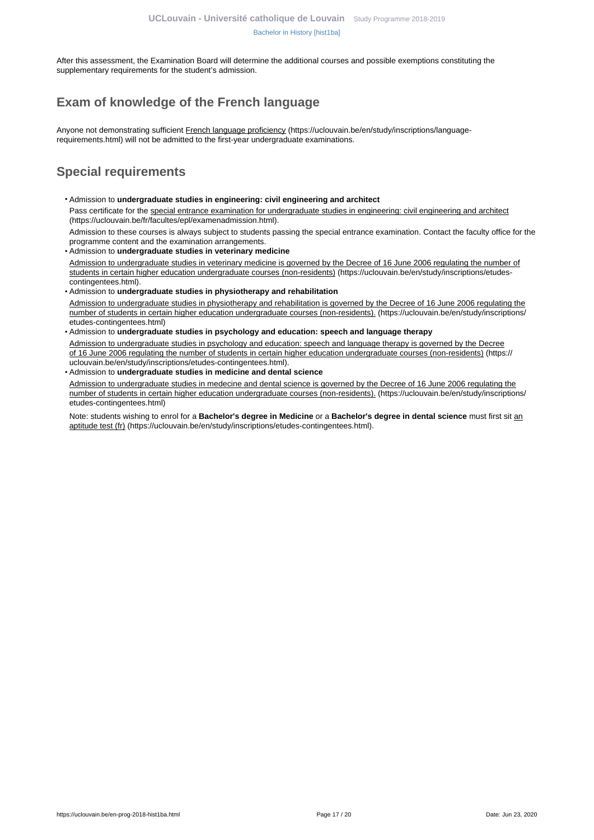After this assessment, the Examination Board will determine the additional courses and possible exemptions constituting the supplementary requirements for the student's admission.

# <span id="page-16-0"></span>**Exam of knowledge of the French language**

Anyone not demonstrating sufficient French language proficiency (https://uclouvain.be/en/study/inscriptions/languagerequirements.html) will not be admitted to the first-year undergraduate examinations.

# <span id="page-16-1"></span>**Special requirements**

- Admission to **undergraduate studies in engineering: civil engineering and architect** Pass certificate for the special entrance examination for undergraduate studies in engineering: civil engineering and architect (https://uclouvain.be/fr/facultes/epl/examenadmission.html). Admission to these courses is always subject to students passing the special entrance examination. Contact the faculty office for the
- programme content and the examination arrangements. • Admission to **undergraduate studies in veterinary medicine**  Admission to undergraduate studies in veterinary medicine is governed by the Decree of 16 June 2006 regulating the number of students in certain higher education undergraduate courses (non-residents) (https://uclouvain.be/en/study/inscriptions/etudescontingentees.html).
- Admission to **undergraduate studies in physiotherapy and rehabilitation** Admission to undergraduate studies in physiotherapy and rehabilitation is governed by the Decree of 16 June 2006 regulating the number of students in certain higher education undergraduate courses (non-residents). (https://uclouvain.be/en/study/inscriptions/ etudes-contingentees.html)
- Admission to **undergraduate studies in psychology and education: speech and language therapy** Admission to undergraduate studies in psychology and education: speech and language therapy is governed by the Decree of 16 June 2006 regulating the number of students in certain higher education undergraduate courses (non-residents) (https:// uclouvain.be/en/study/inscriptions/etudes-contingentees.html).
- Admission to **undergraduate studies in medicine and dental science**

Admission to undergraduate studies in medecine and dental science is governed by the Decree of 16 June 2006 regulating the number of students in certain higher education undergraduate courses (non-residents). (https://uclouvain.be/en/study/inscriptions/ etudes-contingentees.html)

Note: students wishing to enrol for a **Bachelor's degree in Medicine** or a **Bachelor's degree in dental science** must first sit an aptitude test (fr) (https://uclouvain.be/en/study/inscriptions/etudes-contingentees.html).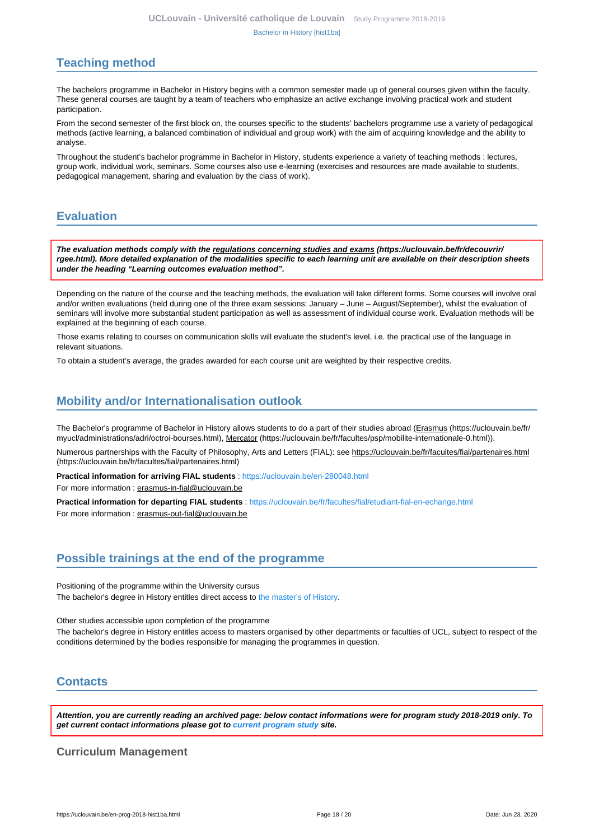# <span id="page-17-0"></span>**Teaching method**

The bachelors programme in Bachelor in History begins with a common semester made up of general courses given within the faculty. These general courses are taught by a team of teachers who emphasize an active exchange involving practical work and student participation.

From the second semester of the first block on, the courses specific to the students' bachelors programme use a variety of pedagogical methods (active learning, a balanced combination of individual and group work) with the aim of acquiring knowledge and the ability to analyse.

Throughout the student's bachelor programme in Bachelor in History, students experience a variety of teaching methods : lectures, group work, individual work, seminars. Some courses also use e-learning (exercises and resources are made available to students, pedagogical management, sharing and evaluation by the class of work).

# <span id="page-17-1"></span>**Evaluation**

**The evaluation methods comply with the regulations concerning studies and exams (https://uclouvain.be/fr/decouvrir/ rgee.html). More detailed explanation of the modalities specific to each learning unit are available on their description sheets under the heading "Learning outcomes evaluation method".**

Depending on the nature of the course and the teaching methods, the evaluation will take different forms. Some courses will involve oral and/or written evaluations (held during one of the three exam sessions: January – June – August/September), whilst the evaluation of seminars will involve more substantial student participation as well as assessment of individual course work. Evaluation methods will be explained at the beginning of each course.

Those exams relating to courses on communication skills will evaluate the student's level, i.e. the practical use of the language in relevant situations.

To obtain a student's average, the grades awarded for each course unit are weighted by their respective credits.

# <span id="page-17-2"></span>**Mobility and/or Internationalisation outlook**

The Bachelor's programme of Bachelor in History allows students to do a part of their studies abroad (Erasmus (https://uclouvain.be/fr/ myucl/administrations/adri/octroi-bourses.html), Mercator (https://uclouvain.be/fr/facultes/psp/mobilite-internationale-0.html)).

Numerous partnerships with the Faculty of Philosophy, Arts and Letters (FIAL): see https://uclouvain.be/fr/facultes/fial/partenaires.html (https://uclouvain.be/fr/facultes/fial/partenaires.html)

**Practical information for arriving FIAL students** : <https://uclouvain.be/en-280048.html>

For more information : erasmus-in-fial@uclouvain.be

**Practical information for departing FIAL students** :<https://uclouvain.be/fr/facultes/fial/etudiant-fial-en-echange.html> For more information : erasmus-out-fial@uclouvain.be

# <span id="page-17-3"></span>**Possible trainings at the end of the programme**

Positioning of the programme within the University cursus

The bachelor's degree in History entitles direct access to [the master's of History.](https://uclouvain.be/en-prog-2012-Lhist2m.html)

Other studies accessible upon completion of the programme

The bachelor's degree in History entitles access to masters organised by other departments or faculties of UCL, subject to respect of the conditions determined by the bodies responsible for managing the programmes in question.

# <span id="page-17-4"></span>**Contacts**

**Attention, you are currently reading an archived page: below contact informations were for program study 2018-2019 only. To get current contact informations please got to [current program study](https://uclouvain.be/fr/catalogue-formations) site.**

### **Curriculum Management**